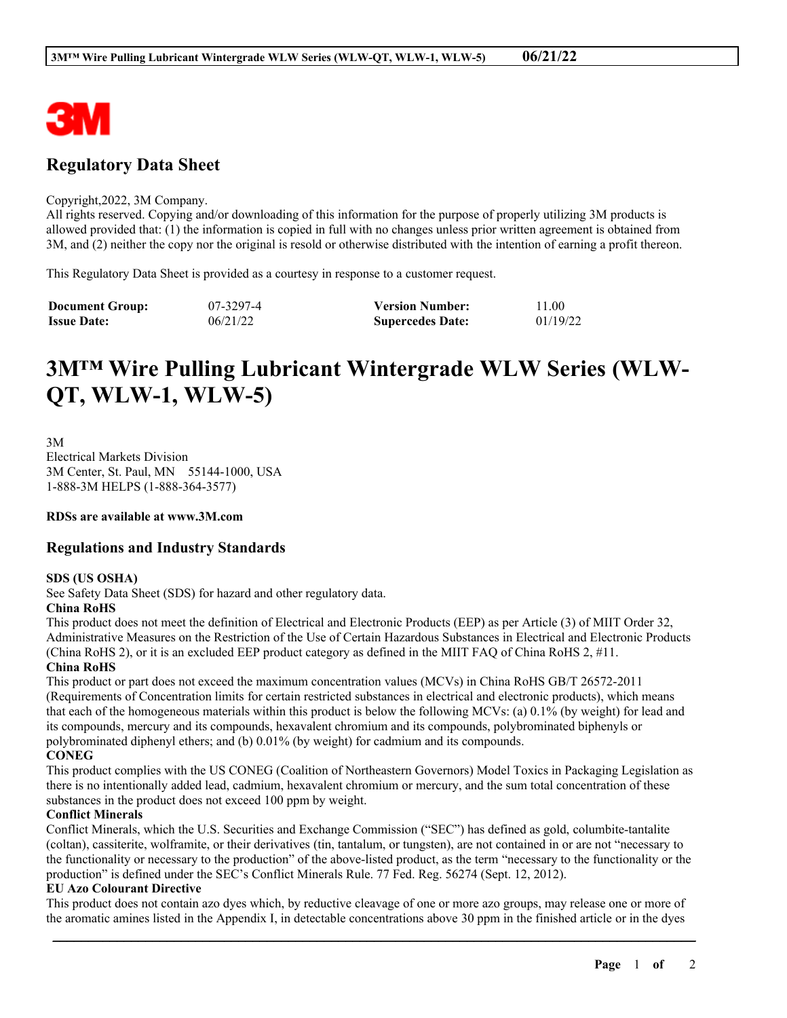

# **Regulatory Data Sheet**

#### Copyright,2022, 3M Company.

All rights reserved. Copying and/or downloading of this information for the purpose of properly utilizing 3M products is allowed provided that: (1) the information is copied in full with no changes unless prior written agreement is obtained from 3M, and (2) neither the copy nor the original is resold or otherwise distributed with the intention of earning a profit thereon.

This Regulatory Data Sheet is provided as a courtesy in response to a customer request.

| <b>Document Group:</b> | 07-3297-4 | <b>Version Number:</b>  | 11.00    |
|------------------------|-----------|-------------------------|----------|
| <b>Issue Date:</b>     | 06/21/22  | <b>Supercedes Date:</b> | 01/19/22 |

# **3M™ Wire Pulling Lubricant Wintergrade WLW Series (WLW-QT, WLW-1, WLW-5)**

3M Electrical Markets Division 3M Center, St. Paul, MN 55144-1000, USA 1-888-3M HELPS (1-888-364-3577)

#### **RDSs are available at www.3M.com**

# **Regulations and Industry Standards**

#### **SDS (US OSHA)**

See Safety Data Sheet (SDS) for hazard and other regulatory data.

# **China RoHS**

This product does not meet the definition of Electrical and Electronic Products (EEP) as per Article (3) of MIIT Order 32, Administrative Measures on the Restriction of the Use of Certain Hazardous Substances in Electrical and Electronic Products (China RoHS 2), or it is an excluded EEP product category as defined in the MIIT FAQ of China RoHS 2, #11. **China RoHS**

# This product or part does not exceed the maximum concentration values (MCVs) in China RoHS GB/T 26572-2011 (Requirements of Concentration limits for certain restricted substances in electrical and electronic products), which means that each of the homogeneous materials within this product is below the following MCVs: (a) 0.1% (by weight) for lead and its compounds, mercury and its compounds, hexavalent chromium and its compounds, polybrominated biphenyls or polybrominated diphenyl ethers; and (b) 0.01% (by weight) for cadmium and its compounds.

### **CONEG**

This product complies with the US CONEG (Coalition of Northeastern Governors) Model Toxics in Packaging Legislation as there is no intentionally added lead, cadmium, hexavalent chromium or mercury, and the sum total concentration of these substances in the product does not exceed 100 ppm by weight.

### **Conflict Minerals**

Conflict Minerals, which the U.S. Securities and Exchange Commission ("SEC") has defined as gold, columbite-tantalite (coltan), cassiterite, wolframite, or their derivatives (tin, tantalum, or tungsten), are not contained in or are not "necessary to the functionality or necessary to the production" of the above-listed product, as the term "necessary to the functionality or the production" is defined under the SEC's Conflict Minerals Rule. 77 Fed. Reg. 56274 (Sept. 12, 2012).

#### **EU Azo Colourant Directive**

This product does not contain azo dyes which, by reductive cleavage of one or more azo groups, may release one or more of the aromatic amines listed in the Appendix I, in detectable concentrations above 30 ppm in the finished article or in the dyes

\_\_\_\_\_\_\_\_\_\_\_\_\_\_\_\_\_\_\_\_\_\_\_\_\_\_\_\_\_\_\_\_\_\_\_\_\_\_\_\_\_\_\_\_\_\_\_\_\_\_\_\_\_\_\_\_\_\_\_\_\_\_\_\_\_\_\_\_\_\_\_\_\_\_\_\_\_\_\_\_\_\_\_\_\_\_\_\_\_\_